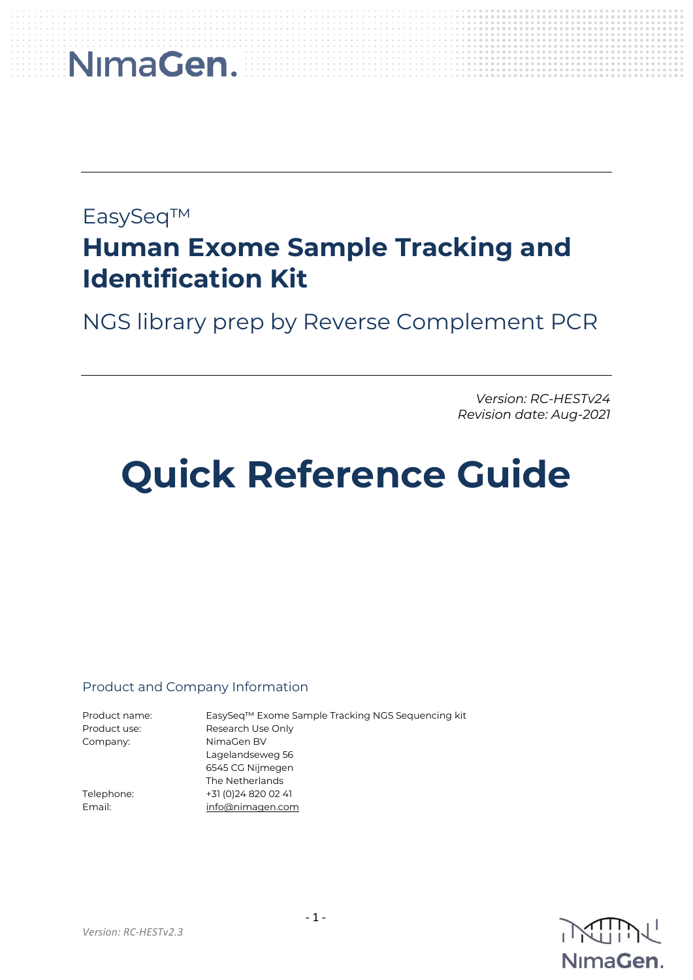### EasySeq™

### **Human Exome Sample Tracking and Identification Kit**

NGS library prep by Reverse Complement PCR

*Version: RC-HESTv24 Revision date: Aug-2021*

## **Quick Reference Guide**

### Product and Company Information

Product use: Research Use Only Company: NimaGen BV

Product name: EasySeq™ Exome Sample Tracking NGS Sequencing kit Lagelandseweg 56 6545 CG Nijmegen The Netherlands Telephone: +31 (0)24 820 02 41 Email: [info@nimagen.com](mailto:info@nimagen.com)

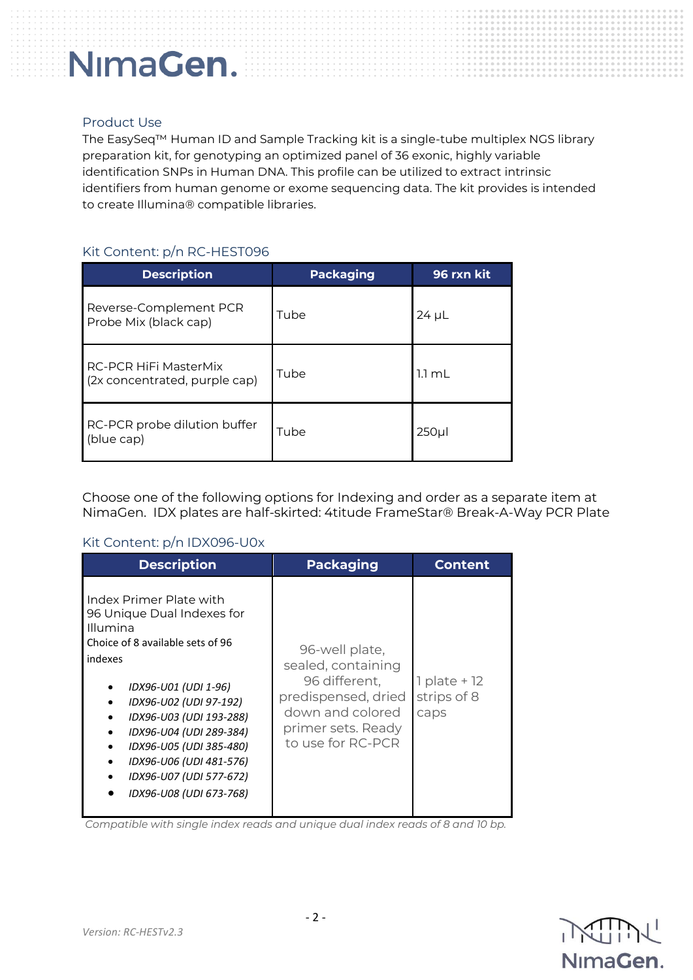#### Product Use

The EasySeq™ Human ID and Sample Tracking kit is a single-tube multiplex NGS library preparation kit, for genotyping an optimized panel of 36 exonic, highly variable identification SNPs in Human DNA. This profile can be utilized to extract intrinsic identifiers from human genome or exome sequencing data. The kit provides is intended to create Illumina® compatible libraries.

#### Kit Content: p/n RC-HEST096

| <b>Description</b>                                     | <b>Packaging</b> | 96 rxn kit       |
|--------------------------------------------------------|------------------|------------------|
| Reverse-Complement PCR<br>Probe Mix (black cap)        | Tube             | $24 \mu L$       |
| RC-PCR HiFi MasterMix<br>(2x concentrated, purple cap) | Tube             | $1.1 \text{ ml}$ |
| RC-PCR probe dilution buffer<br>(blue cap)             | Tube             | $250$ µ          |

Choose one of the following options for Indexing and order as a separate item at NimaGen. IDX plates are half-skirted: 4titude FrameStar® Break-A-Way PCR Plate

#### Kit Content: p/n IDX096-U0x

| <b>Description</b>                                                                                                                                                                                                                                                                                                                   | <b>Packaging</b>                                                                                                                            | <b>Content</b>                          |
|--------------------------------------------------------------------------------------------------------------------------------------------------------------------------------------------------------------------------------------------------------------------------------------------------------------------------------------|---------------------------------------------------------------------------------------------------------------------------------------------|-----------------------------------------|
| Index Primer Plate with<br>96 Unique Dual Indexes for<br>Illumina<br>Choice of 8 available sets of 96<br>indexes<br>IDX96-U01 (UDI 1-96)<br>IDX96-U02 (UDI 97-192)<br>IDX96-U03 (UDI 193-288)<br>IDX96-U04 (UDI 289-384)<br>IDX96-U05 (UDI 385-480)<br>IDX96-U06 (UDI 481-576)<br>IDX96-U07 (UDI 577-672)<br>IDX96-U08 (UDI 673-768) | 96-well plate,<br>sealed, containing<br>96 different,<br>predispensed, dried<br>down and colored<br>primer sets. Ready<br>to use for RC-PCR | $1$ plate + $12$<br>strips of 8<br>caps |

*Compatible with single index reads and unique dual index reads of 8 and 10 bp.*

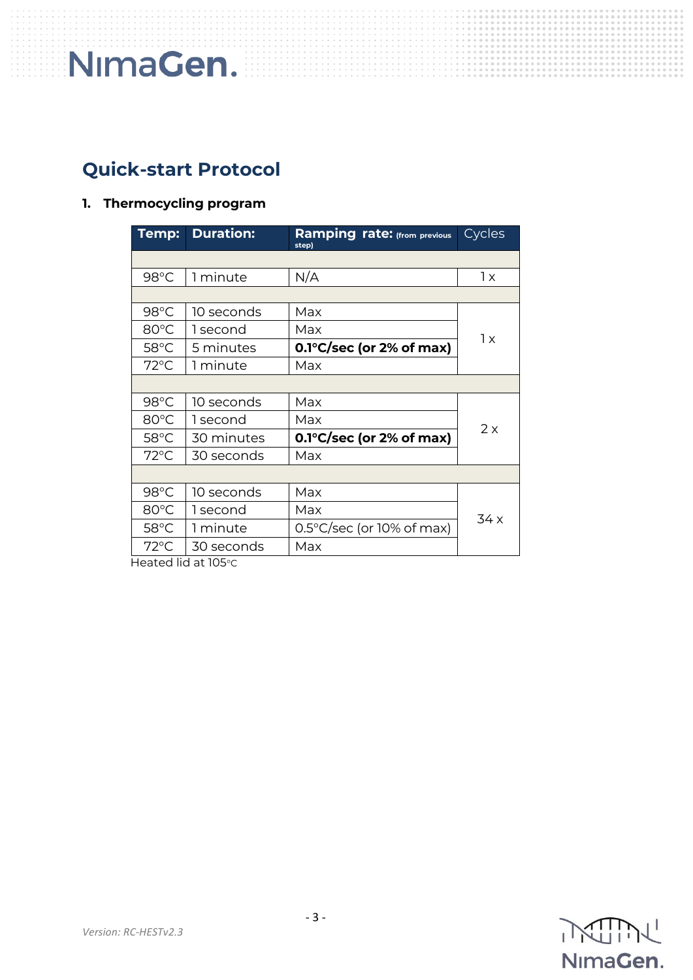### **Quick-start Protocol**

### **1. Thermocycling program**

| Temp:          | <b>Duration:</b> | <b>Ramping rate:</b> (from previous<br>step) | Cycles |  |
|----------------|------------------|----------------------------------------------|--------|--|
|                |                  |                                              |        |  |
| 98°C           | 1 minute         | N/A                                          | 1x     |  |
|                |                  |                                              |        |  |
| $98^{\circ}$ C | 10 seconds       | Max                                          | 1x     |  |
| 80°C           | 1 second         | Max                                          |        |  |
| $58^{\circ}$ C | 5 minutes        | $0.1^{\circ}$ C/sec (or 2% of max)           |        |  |
| $72^{\circ}$ C | 1 minute         | Max                                          |        |  |
|                |                  |                                              |        |  |
| $98^{\circ}$ C | 10 seconds       | Max                                          |        |  |
| 80°C           | 1 second         | Max                                          | 2x     |  |
| $58^{\circ}$ C | 30 minutes       | $0.1^{\circ}$ C/sec (or 2% of max)           |        |  |
| $72^{\circ}$ C | 30 seconds       | Max                                          |        |  |
|                |                  |                                              |        |  |
| $98^{\circ}$ C | 10 seconds       | Max                                          | 34 x   |  |
| 80°C           | 1 second         | Max                                          |        |  |
| $58^{\circ}$ C | 1 minute         | $0.5^{\circ}$ C/sec (or 10% of max)          |        |  |
| $72^{\circ}$ C | 30 seconds       | Max                                          |        |  |

Heated lid at 105°C

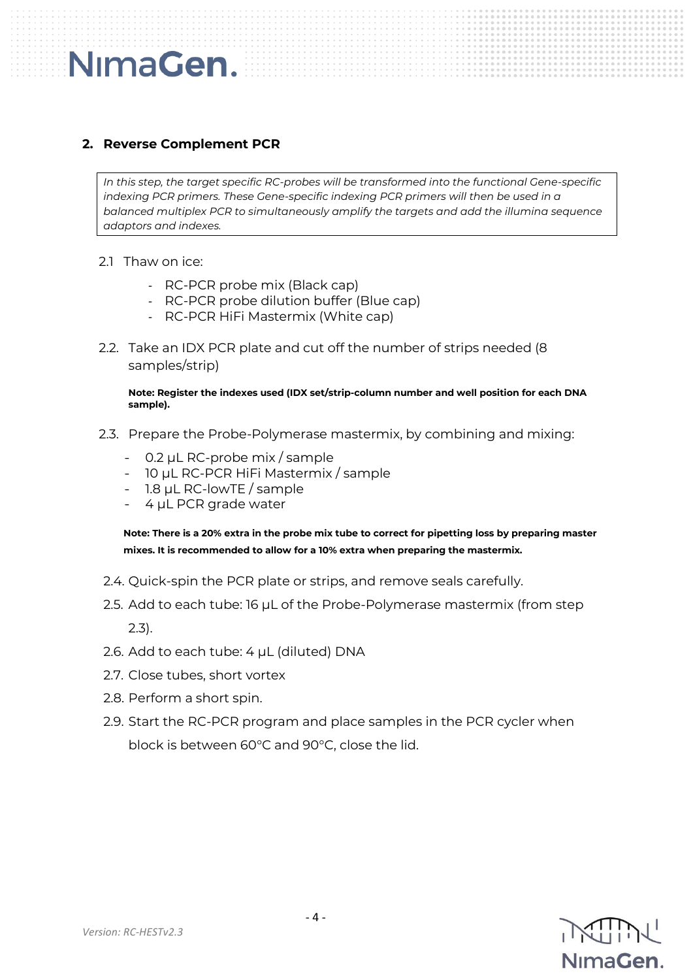### **2. Reverse Complement PCR**

*In this step, the target specific RC-probes will be transformed into the functional Gene-specific indexing PCR primers. These Gene-specific indexing PCR primers will then be used in a balanced multiplex PCR to simultaneously amplify the targets and add the illumina sequence adaptors and indexes.*

2.1 Thaw on ice:

NimaGen.

- RC-PCR probe mix (Black cap)
- RC-PCR probe dilution buffer (Blue cap)
- RC-PCR HiFi Mastermix (White cap)
- 2.2. Take an IDX PCR plate and cut off the number of strips needed (8 samples/strip)

**Note: Register the indexes used (IDX set/strip-column number and well position for each DNA sample).** 

- 2.3. Prepare the Probe-Polymerase mastermix, by combining and mixing:
	- 0.2 µL RC-probe mix / sample
	- 10 µL RC-PCR HiFi Mastermix / sample
	- 1.8 µL RC-lowTE / sample
	- 4 µL PCR grade water

**Note: There is a 20% extra in the probe mix tube to correct for pipetting loss by preparing master mixes. It is recommended to allow for a 10% extra when preparing the mastermix.**

- 2.4. Quick-spin the PCR plate or strips, and remove seals carefully.
- 2.5. Add to each tube: 16 µL of the Probe-Polymerase mastermix (from step 2.3).
- 2.6. Add to each tube: 4 µL (diluted) DNA
- 2.7. Close tubes, short vortex
- 2.8. Perform a short spin.
- 2.9. Start the RC-PCR program and place samples in the PCR cycler when block is between 60°C and 90°C, close the lid.

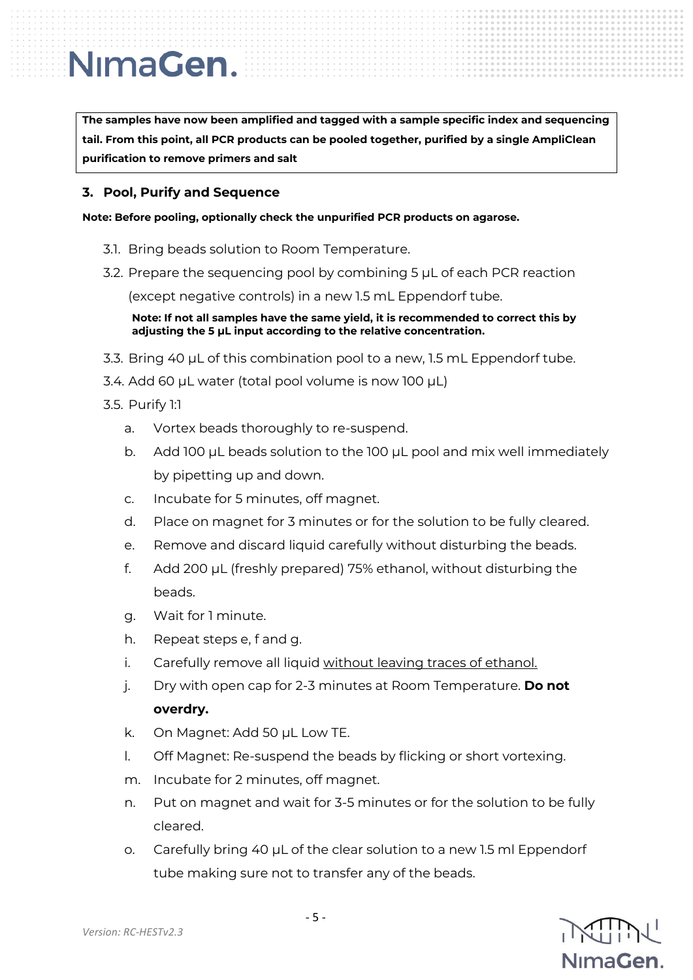**The samples have now been amplified and tagged with a sample specific index and sequencing tail. From this point, all PCR products can be pooled together, purified by a single AmpliClean purification to remove primers and salt**

#### **3. Pool, Purify and Sequence**

**Note: Before pooling, optionally check the unpurified PCR products on agarose.**

- 3.1. Bring beads solution to Room Temperature.
- 3.2. Prepare the sequencing pool by combining 5 µL of each PCR reaction

(except negative controls) in a new 1.5 mL Eppendorf tube.

**Note: If not all samples have the same yield, it is recommended to correct this by adjusting the 5 µL input according to the relative concentration.**

- 3.3. Bring 40 µL of this combination pool to a new, 1.5 mL Eppendorf tube.
- 3.4. Add 60 µL water (total pool volume is now 100 µL)
- 3.5. Purify 1:1
	- a. Vortex beads thoroughly to re-suspend.
	- b. Add 100 µL beads solution to the 100 µL pool and mix well immediately by pipetting up and down.
	- c. Incubate for 5 minutes, off magnet.
	- d. Place on magnet for 3 minutes or for the solution to be fully cleared.
	- e. Remove and discard liquid carefully without disturbing the beads.
	- f. Add 200 µL (freshly prepared) 75% ethanol, without disturbing the beads.
	- g. Wait for 1 minute.
	- h. Repeat steps e, f and g.
	- i. Carefully remove all liquid without leaving traces of ethanol.
	- j. Dry with open cap for 2-3 minutes at Room Temperature. **Do not overdry.**
	- k. On Magnet: Add 50 µL Low TE.
	- l. Off Magnet: Re-suspend the beads by flicking or short vortexing.
	- m. Incubate for 2 minutes, off magnet.
	- n. Put on magnet and wait for 3-5 minutes or for the solution to be fully cleared.
	- o. Carefully bring 40 µL of the clear solution to a new 1.5 ml Eppendorf tube making sure not to transfer any of the beads.

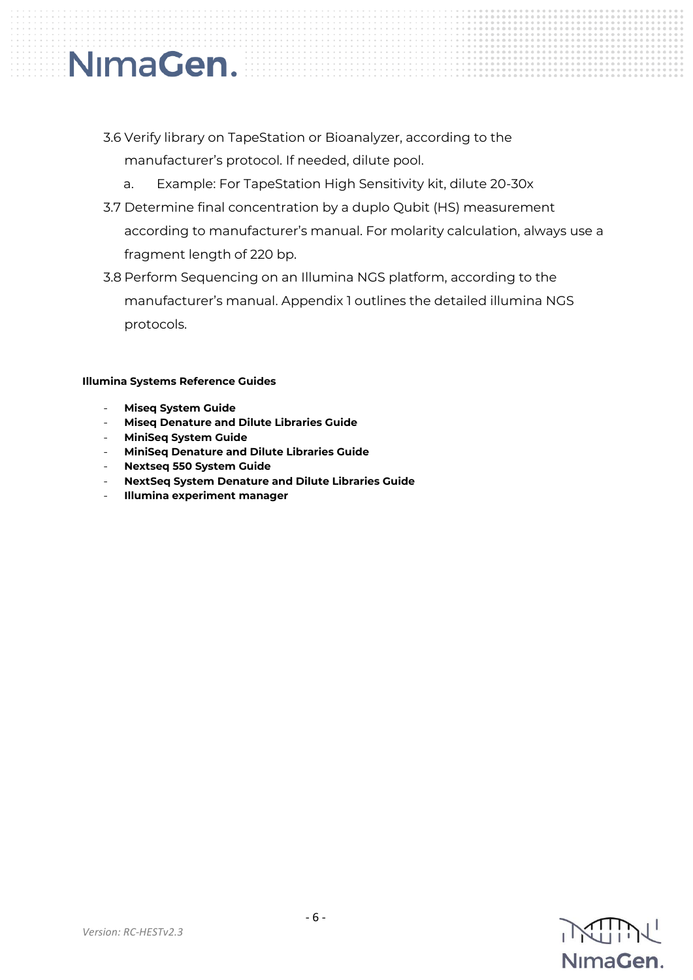### 3.6 Verify library on TapeStation or Bioanalyzer, according to the manufacturer's protocol. If needed, dilute pool.

- a. Example: For TapeStation High Sensitivity kit, dilute 20-30x
- 3.7 Determine final concentration by a duplo Qubit (HS) measurement according to manufacturer's manual. For molarity calculation, always use a fragment length of 220 bp.
- 3.8 Perform Sequencing on an Illumina NGS platform, according to the manufacturer's manual. Appendix 1 outlines the detailed illumina NGS protocols.

#### **Illumina Systems Reference Guides**

- **Miseq System Guide**

NimaGen.

- **Miseq Denature and Dilute Libraries Guide**
- **MiniSeq System Guide**
- **MiniSeq Denature and Dilute Libraries Guide**
- **Nextseq 550 System Guide**
- **NextSeq System Denature and Dilute Libraries Guide**
- **Illumina experiment manager**

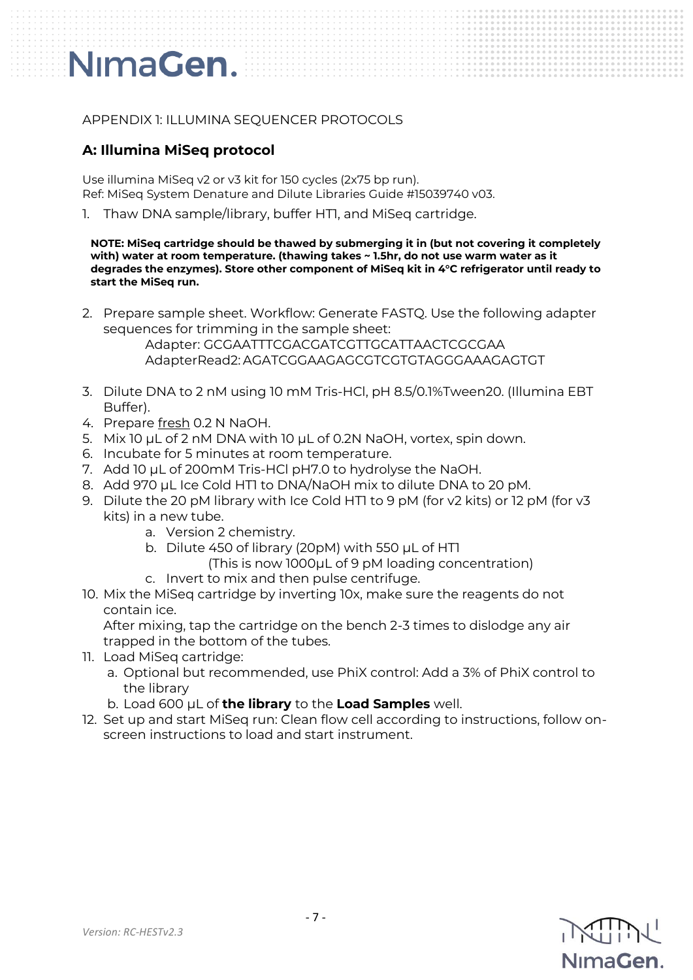### APPENDIX 1: ILLUMINA SEQUENCER PROTOCOLS

### **A: Illumina MiSeq protocol**

Use illumina MiSeq v2 or v3 kit for 150 cycles (2x75 bp run). Ref: MiSeq System Denature and Dilute Libraries Guide #15039740 v03.

1. Thaw DNA sample/library, buffer HT1, and MiSeq cartridge.

**NOTE: MiSeq cartridge should be thawed by submerging it in (but not covering it completely with) water at room temperature. (thawing takes ~ 1.5hr, do not use warm water as it degrades the enzymes). Store other component of MiSeq kit in 4°C refrigerator until ready to start the MiSeq run.**

2. Prepare sample sheet. Workflow: Generate FASTQ. Use the following adapter sequences for trimming in the sample sheet:

> Adapter: GCGAATTTCGACGATCGTTGCATTAACTCGCGAA AdapterRead2: AGATCGGAAGAGCGTCGTGTAGGGAAAGAGTGT

- 3. Dilute DNA to 2 nM using 10 mM Tris-HCl, pH 8.5/0.1%Tween20. (Illumina EBT Buffer).
- 4. Prepare fresh 0.2 N NaOH.
- 5. Mix 10 µL of 2 nM DNA with 10 µL of 0.2N NaOH, vortex, spin down.
- 6. Incubate for 5 minutes at room temperature.
- 7. Add 10 µL of 200mM Tris-HCl pH7.0 to hydrolyse the NaOH.
- 8. Add 970 µL Ice Cold HT1 to DNA/NaOH mix to dilute DNA to 20 pM.
- 9. Dilute the 20 pM library with Ice Cold HTI to 9 pM (for v2 kits) or 12 pM (for v3 kits) in a new tube.
	- a. Version 2 chemistry.
	- b. Dilute 450 of library (20pM) with 550 µL of HT1
		- (This is now 1000µL of 9 pM loading concentration)
	- c. Invert to mix and then pulse centrifuge.
- 10. Mix the MiSeq cartridge by inverting 10x, make sure the reagents do not contain ice.

After mixing, tap the cartridge on the bench 2-3 times to dislodge any air trapped in the bottom of the tubes.

- 11. Load MiSeq cartridge:
	- a. Optional but recommended, use PhiX control: Add a 3% of PhiX control to the library
	- b. Load 600 µL of **the library** to the **Load Samples** well.
- 12. Set up and start MiSeq run: Clean flow cell according to instructions, follow onscreen instructions to load and start instrument.

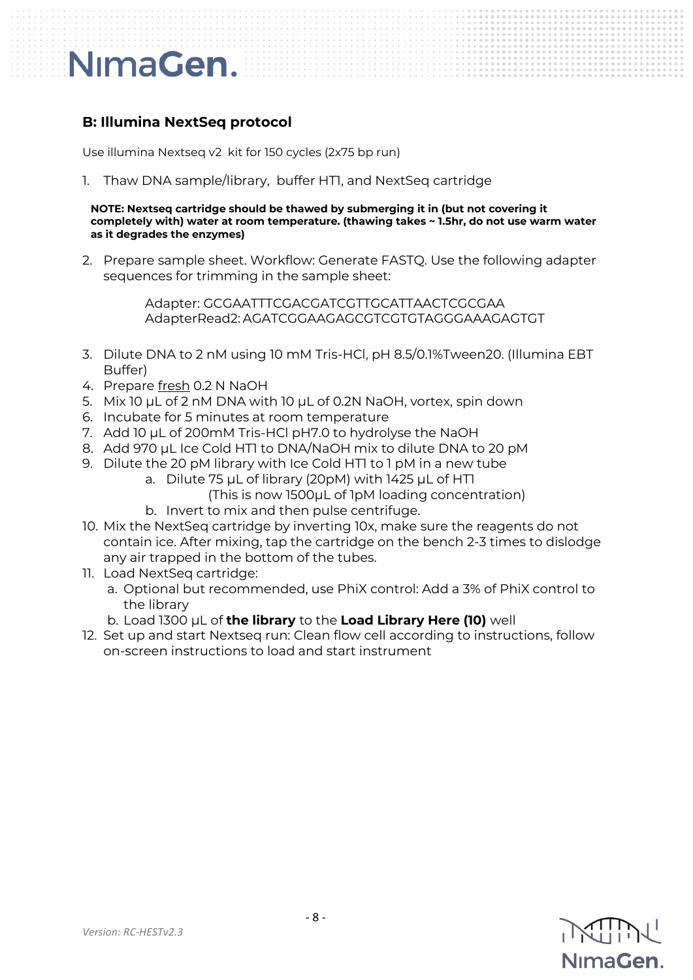### **B: Illumina NextSeq protocol**

Use illumina Nextseq v2 kit for 150 cycles (2x75 bp run)

1. Thaw DNA sample/library, buffer HT1, and NextSeq cartridge

**NOTE: Nextseq cartridge should be thawed by submerging it in (but not covering it completely with) water at room temperature. (thawing takes ~ 1.5hr, do not use warm water as it degrades the enzymes)** 

2. Prepare sample sheet. Workflow: Generate FASTQ. Use the following adapter sequences for trimming in the sample sheet:

> Adapter: GCGAATTTCGACGATCGTTGCATTAACTCGCGAA AdapterRead2: AGATCGGAAGAGCGTCGTGTAGGGAAAGAGTGT

- 3. Dilute DNA to 2 nM using 10 mM Tris-HCl, pH 8.5/0.1%Tween20. (Illumina EBT Buffer)
- 4. Prepare fresh 0.2 N NaOH
- 5. Mix 10 µL of 2 nM DNA with 10 µL of 0.2N NaOH, vortex, spin down
- 6. Incubate for 5 minutes at room temperature
- 7. Add 10 µL of 200mM Tris-HCl pH7.0 to hydrolyse the NaOH
- 8. Add 970 µL Ice Cold HTI to DNA/NaOH mix to dilute DNA to 20 pM
- 9. Dilute the 20 pM library with Ice Cold HT1 to 1 pM in a new tube
	- a. Dilute 75 µL of library (20pM) with 1425 µL of HT1 (This is now 1500µL of 1pM loading concentration)
	- b. Invert to mix and then pulse centrifuge.
- 10. Mix the NextSeq cartridge by inverting 10x, make sure the reagents do not contain ice. After mixing, tap the cartridge on the bench 2-3 times to dislodge any air trapped in the bottom of the tubes.
- 11. Load NextSeq cartridge:
	- a. Optional but recommended, use PhiX control: Add a 3% of PhiX control to the library
	- b. Load 1300 µL of **the library** to the **Load Library Here (10)** well
- 12. Set up and start Nextseq run: Clean flow cell according to instructions, follow on-screen instructions to load and start instrument

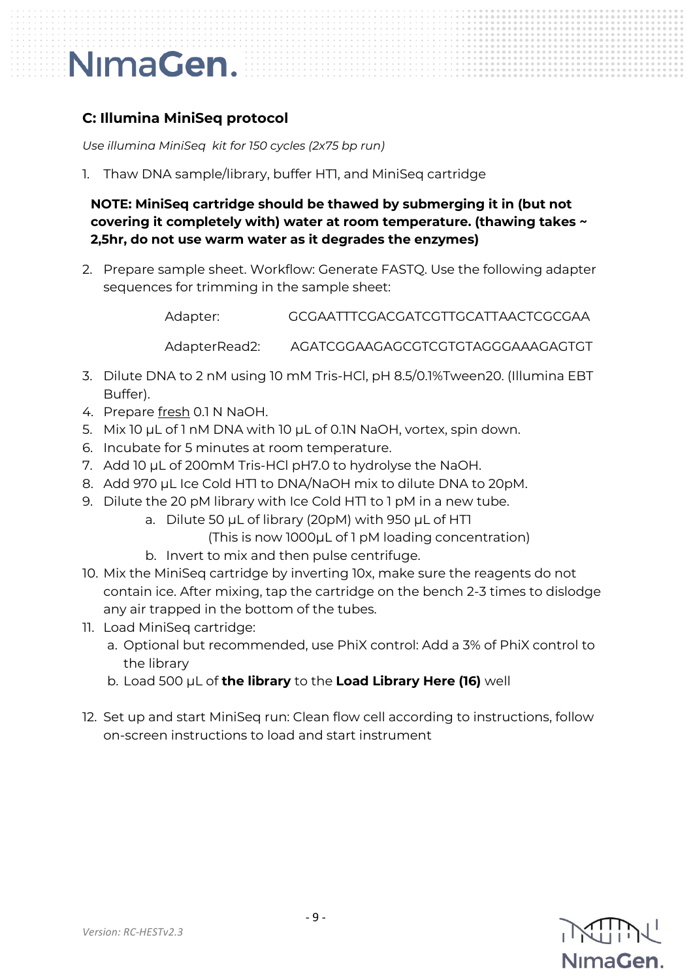### **C: Illumina MiniSeq protocol**

*Use illumina MiniSeq kit for 150 cycles (2x75 bp run)*

1. Thaw DNA sample/library, buffer HT1, and MiniSeq cartridge

**NOTE: MiniSeq cartridge should be thawed by submerging it in (but not covering it completely with) water at room temperature. (thawing takes ~ 2,5hr, do not use warm water as it degrades the enzymes)** 

2. Prepare sample sheet. Workflow: Generate FASTQ. Use the following adapter sequences for trimming in the sample sheet:

Adapter: GCGAATTTCGACGATCGTTGCATTAACTCGCGAA

AdapterRead2: AGATCGGAAGAGCGTCGTGTAGGGAAAGAGTGT

- 3. Dilute DNA to 2 nM using 10 mM Tris-HCl, pH 8.5/0.1%Tween20. (Illumina EBT Buffer).
- 4. Prepare fresh 0.1 N NaOH.
- 5. Mix 10 µL of 1 nM DNA with 10 µL of 0.1N NaOH, vortex, spin down.
- 6. Incubate for 5 minutes at room temperature.
- 7. Add 10 µL of 200mM Tris-HCl pH7.0 to hydrolyse the NaOH.
- 8. Add 970 µL Ice Cold HT1 to DNA/NaOH mix to dilute DNA to 20pM.
- 9. Dilute the 20 pM library with Ice Cold HTI to 1 pM in a new tube.
	- a. Dilute 50 µL of library (20pM) with 950 µL of HTI

(This is now 1000µL of 1 pM loading concentration)

- b. Invert to mix and then pulse centrifuge.
- 10. Mix the MiniSeq cartridge by inverting 10x, make sure the reagents do not contain ice. After mixing, tap the cartridge on the bench 2-3 times to dislodge any air trapped in the bottom of the tubes.
- 11. Load MiniSeq cartridge:
	- a. Optional but recommended, use PhiX control: Add a 3% of PhiX control to the library
	- b. Load 500 µL of **the library** to the **Load Library Here (16)** well
- 12. Set up and start MiniSeq run: Clean flow cell according to instructions, follow on-screen instructions to load and start instrument